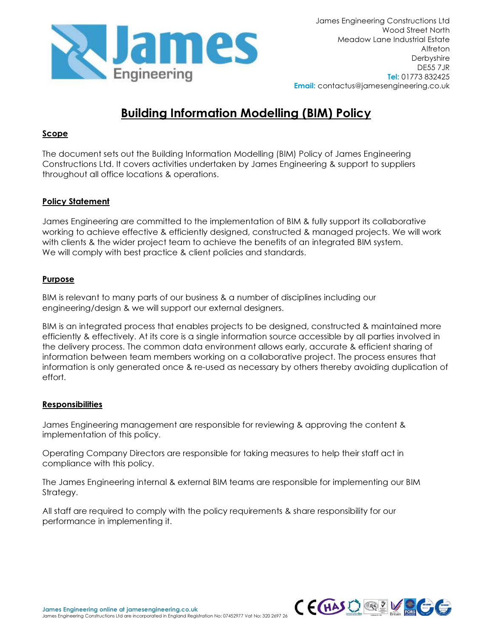

# Building Information Modelling (BIM) Policy

## Scope

The document sets out the Building Information Modelling (BIM) Policy of James Engineering Constructions Ltd. It covers activities undertaken by James Engineering & support to suppliers throughout all office locations & operations.

# Policy Statement

James Engineering are committed to the implementation of BIM & fully support its collaborative working to achieve effective & efficiently designed, constructed & managed projects. We will work with clients & the wider project team to achieve the benefits of an integrated BIM system. We will comply with best practice & client policies and standards.

### Purpose

BIM is relevant to many parts of our business & a number of disciplines including our engineering/design & we will support our external designers.

BIM is an integrated process that enables projects to be designed, constructed & maintained more efficiently & effectively. At its core is a single information source accessible by all parties involved in the delivery process. The common data environment allows early, accurate & efficient sharing of information between team members working on a collaborative project. The process ensures that information is only generated once & re-used as necessary by others thereby avoiding duplication of effort.

## **Responsibilities**

James Engineering management are responsible for reviewing & approving the content & implementation of this policy.

Operating Company Directors are responsible for taking measures to help their staff act in compliance with this policy.

The James Engineering internal & external BIM teams are responsible for implementing our BIM Strategy.

All staff are required to comply with the policy requirements & share responsibility for our performance in implementing it.

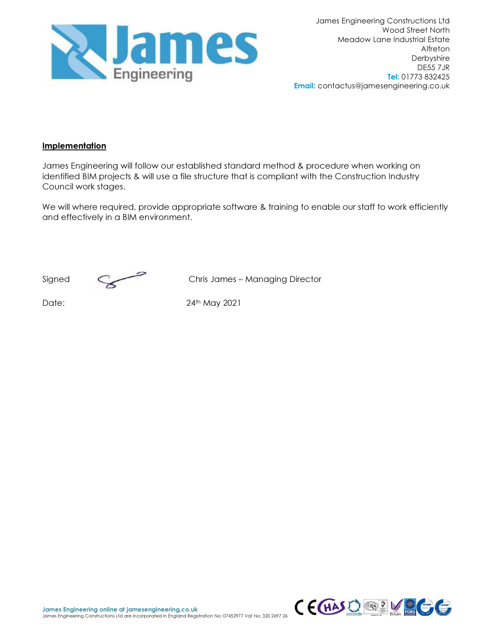

## **Implementation**

James Engineering will follow our established standard method & procedure when working on identified BIM projects & will use a file structure that is compliant with the Construction Industry Council work stages.

We will where required, provide appropriate software & training to enable our staff to work efficiently and effectively in a BIM environment.



Signed Chris James – Managing Director

Date: 24th May 2021